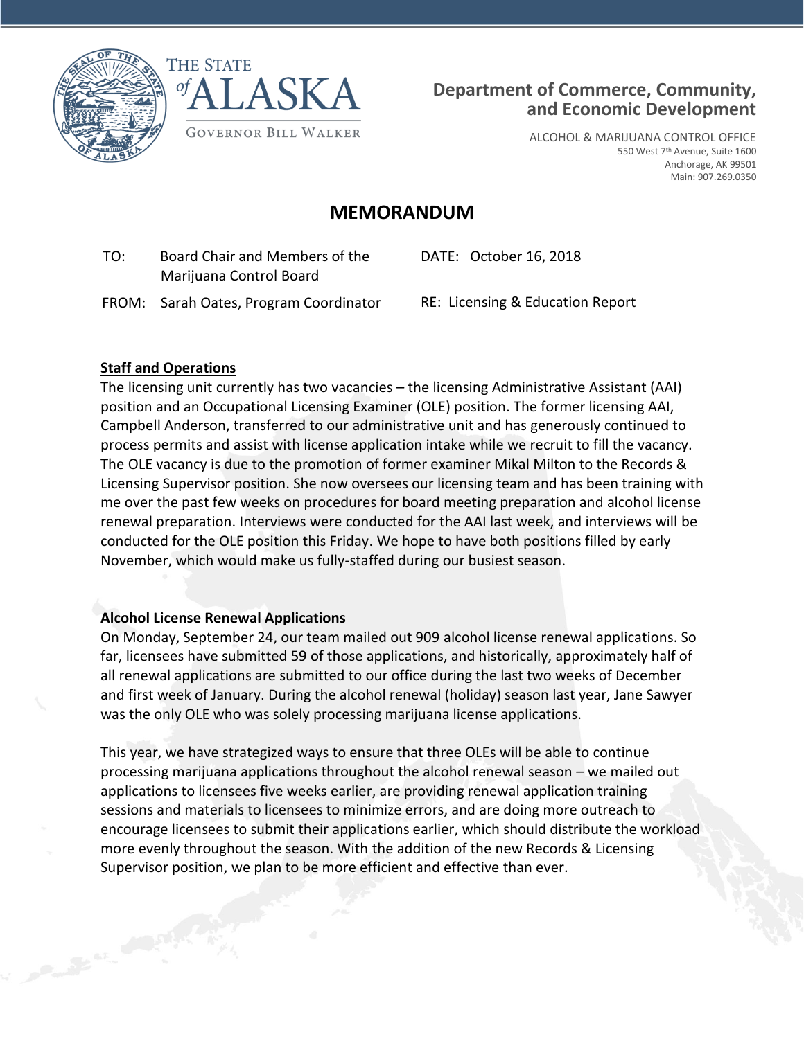

Contractor of the Contractor





ALCOHOL & MARIJUANA CONTROL OFFICE 550 West 7<sup>th</sup> Avenue, Suite 1600 Anchorage, AK 99501 Main: 907.269.0350

# **MEMORANDUM**

 TO: Board Chair and Members of the Marijuana Control Board

DATE: October 16, 2018

FROM: Sarah Oates, Program Coordinator RE: Licensing & Education Report

#### **Staff and Operations**

The licensing unit currently has two vacancies – the licensing Administrative Assistant (AAI) position and an Occupational Licensing Examiner (OLE) position. The former licensing AAI, Campbell Anderson, transferred to our administrative unit and has generously continued to process permits and assist with license application intake while we recruit to fill the vacancy. The OLE vacancy is due to the promotion of former examiner Mikal Milton to the Records & Licensing Supervisor position. She now oversees our licensing team and has been training with me over the past few weeks on procedures for board meeting preparation and alcohol license renewal preparation. Interviews were conducted for the AAI last week, and interviews will be conducted for the OLE position this Friday. We hope to have both positions filled by early November, which would make us fully-staffed during our busiest season.

#### **Alcohol License Renewal Applications**

On Monday, September 24, our team mailed out 909 alcohol license renewal applications. So far, licensees have submitted 59 of those applications, and historically, approximately half of all renewal applications are submitted to our office during the last two weeks of December and first week of January. During the alcohol renewal (holiday) season last year, Jane Sawyer was the only OLE who was solely processing marijuana license applications.

This year, we have strategized ways to ensure that three OLEs will be able to continue processing marijuana applications throughout the alcohol renewal season – we mailed out applications to licensees five weeks earlier, are providing renewal application training sessions and materials to licensees to minimize errors, and are doing more outreach to encourage licensees to submit their applications earlier, which should distribute the workload more evenly throughout the season. With the addition of the new Records & Licensing Supervisor position, we plan to be more efficient and effective than ever.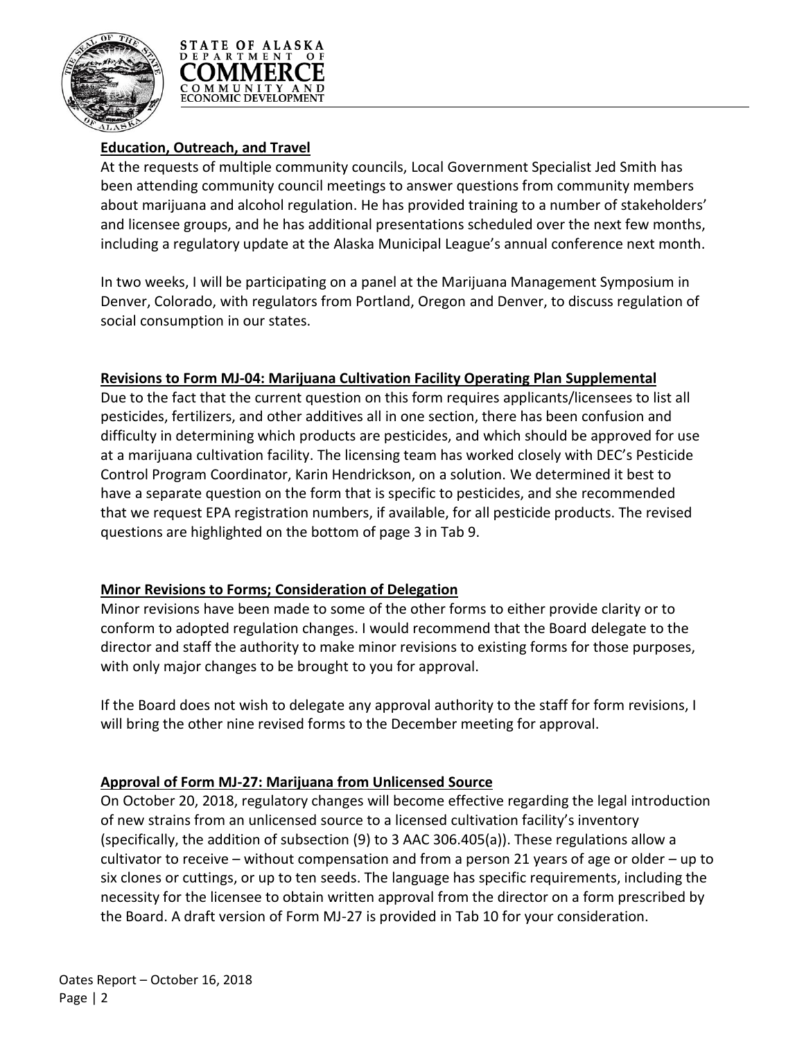



### **Education, Outreach, and Travel**

At the requests of multiple community councils, Local Government Specialist Jed Smith has been attending community council meetings to answer questions from community members about marijuana and alcohol regulation. He has provided training to a number of stakeholders' and licensee groups, and he has additional presentations scheduled over the next few months, including a regulatory update at the Alaska Municipal League's annual conference next month.

In two weeks, I will be participating on a panel at the Marijuana Management Symposium in Denver, Colorado, with regulators from Portland, Oregon and Denver, to discuss regulation of social consumption in our states.

#### **Revisions to Form MJ-04: Marijuana Cultivation Facility Operating Plan Supplemental**

Due to the fact that the current question on this form requires applicants/licensees to list all pesticides, fertilizers, and other additives all in one section, there has been confusion and difficulty in determining which products are pesticides, and which should be approved for use at a marijuana cultivation facility. The licensing team has worked closely with DEC's Pesticide Control Program Coordinator, Karin Hendrickson, on a solution. We determined it best to have a separate question on the form that is specific to pesticides, and she recommended that we request EPA registration numbers, if available, for all pesticide products. The revised questions are highlighted on the bottom of page 3 in Tab 9.

#### **Minor Revisions to Forms; Consideration of Delegation**

Minor revisions have been made to some of the other forms to either provide clarity or to conform to adopted regulation changes. I would recommend that the Board delegate to the director and staff the authority to make minor revisions to existing forms for those purposes, with only major changes to be brought to you for approval.

If the Board does not wish to delegate any approval authority to the staff for form revisions, I will bring the other nine revised forms to the December meeting for approval.

#### **Approval of Form MJ-27: Marijuana from Unlicensed Source**

On October 20, 2018, regulatory changes will become effective regarding the legal introduction of new strains from an unlicensed source to a licensed cultivation facility's inventory (specifically, the addition of subsection (9) to 3 AAC 306.405(a)). These regulations allow a cultivator to receive – without compensation and from a person 21 years of age or older – up to six clones or cuttings, or up to ten seeds. The language has specific requirements, including the necessity for the licensee to obtain written approval from the director on a form prescribed by the Board. A draft version of Form MJ-27 is provided in Tab 10 for your consideration.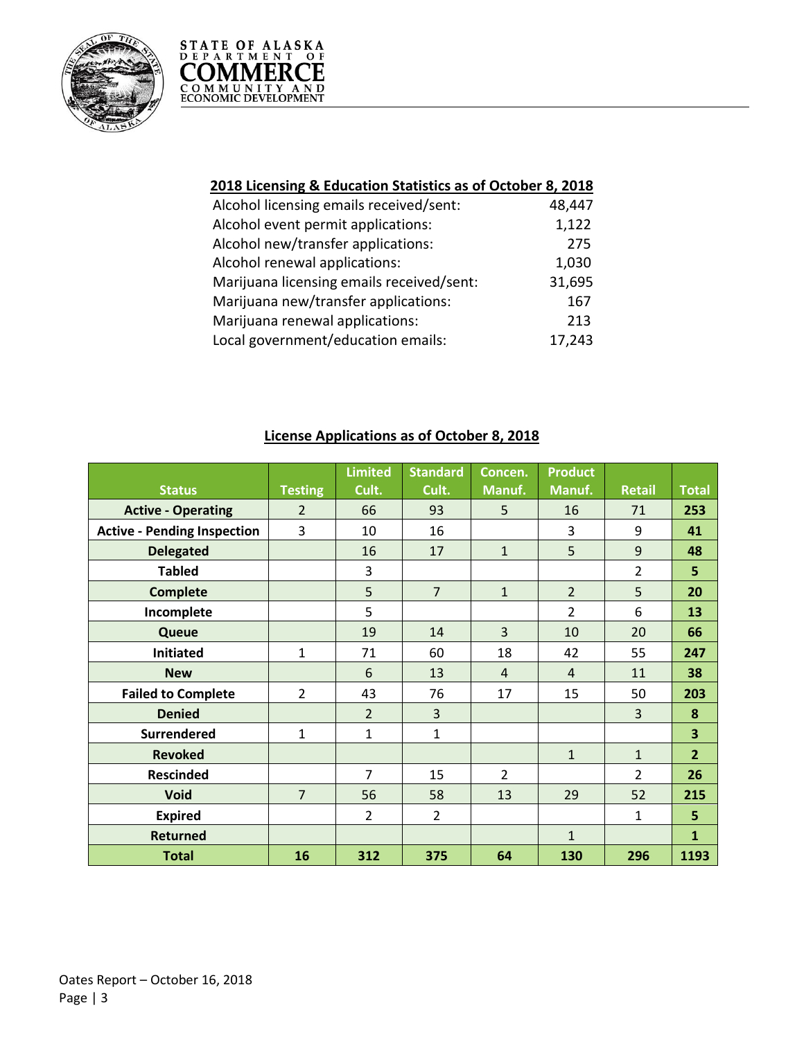



| 2018 Licensing & Education Statistics as of October 8, 2018 |        |  |  |  |  |
|-------------------------------------------------------------|--------|--|--|--|--|
| Alcohol licensing emails received/sent:                     | 48,447 |  |  |  |  |
| Alcohol event permit applications:                          | 1,122  |  |  |  |  |
| Alcohol new/transfer applications:                          | 275    |  |  |  |  |
| Alcohol renewal applications:                               | 1,030  |  |  |  |  |
| Marijuana licensing emails received/sent:                   | 31,695 |  |  |  |  |
| Marijuana new/transfer applications:                        | 167    |  |  |  |  |
| Marijuana renewal applications:                             | 213    |  |  |  |  |
| Local government/education emails:                          | 17,243 |  |  |  |  |

|                                    |                | <b>Limited</b> | <b>Standard</b> | Concen.        | <b>Product</b> |                |                |
|------------------------------------|----------------|----------------|-----------------|----------------|----------------|----------------|----------------|
| <b>Status</b>                      | <b>Testing</b> | Cult.          | Cult.           | Manuf.         | Manuf.         | <b>Retail</b>  | <b>Total</b>   |
| <b>Active - Operating</b>          | $\overline{2}$ | 66             | 93              | 5              | 16             | 71             | 253            |
| <b>Active - Pending Inspection</b> | 3              | 10             | 16              |                | 3              | 9              | 41             |
| <b>Delegated</b>                   |                | 16             | 17              | $\mathbf{1}$   | 5              | 9              | 48             |
| <b>Tabled</b>                      |                | 3              |                 |                |                | $\overline{2}$ | 5              |
| <b>Complete</b>                    |                | 5              | $\overline{7}$  | $\mathbf{1}$   | $\overline{2}$ | 5              | 20             |
| Incomplete                         |                | 5              |                 |                | $\overline{2}$ | 6              | 13             |
| Queue                              |                | 19             | 14              | $\overline{3}$ | 10             | 20             | 66             |
| <b>Initiated</b>                   | $\mathbf{1}$   | 71             | 60              | 18             | 42             | 55             | 247            |
| <b>New</b>                         |                | 6              | 13              | $\overline{4}$ | $\overline{4}$ | 11             | 38             |
| <b>Failed to Complete</b>          | $\overline{2}$ | 43             | 76              | 17             | 15             | 50             | 203            |
| <b>Denied</b>                      |                | $\overline{2}$ | 3               |                |                | 3              | 8              |
| <b>Surrendered</b>                 | $\mathbf{1}$   | 1              | 1               |                |                |                | 3              |
| <b>Revoked</b>                     |                |                |                 |                | $\mathbf{1}$   | $\mathbf{1}$   | $\overline{2}$ |
| <b>Rescinded</b>                   |                | $\overline{7}$ | 15              | $\overline{2}$ |                | $\overline{2}$ | 26             |
| <b>Void</b>                        | $\overline{7}$ | 56             | 58              | 13             | 29             | 52             | 215            |
| <b>Expired</b>                     |                | $\overline{2}$ | $\overline{2}$  |                |                | $\mathbf{1}$   | 5              |
| <b>Returned</b>                    |                |                |                 |                | $\mathbf{1}$   |                | $\mathbf{1}$   |
| <b>Total</b>                       | 16             | 312            | 375             | 64             | 130            | 296            | 1193           |

## **License Applications as of October 8, 2018**